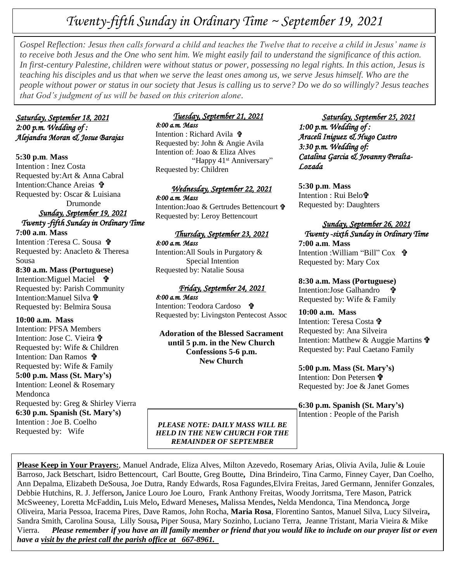# *Twenty-fifth Sunday in Ordinary Time ~ September 19, 2021*

Gospel Keflection: Jesus then calls forward a child and teacnes the Twelve that to receive a child in Jesus Whame i<br>to receive both Jesus and the One who sent him. We might easily fail to understand the significance of thi *Gospel Reflection: Jesus then calls forward a child and teaches the Twelve that to receive a child in Jesus' name is In first-century Palestine, children were without status or power, possessing no legal rights. In this action, Jesus is teaching his disciples and us that when we serve the least ones among us, we serve Jesus himself. Who are the people without power or status in our society that Jesus is calling us to serve? Do we do so willingly? Jesus teaches that God's judgment of us will be based on this criterion alone.*

# *Saturday, September 18, 2021 2:00 p.m. Wedding of : Alejandra Moran & Josue Barajas*

#### **5:30 p.m**. **Mass**

Intention : Inez Costa Requested by:Art & Anna Cabral Intention:Chance Areias Requested by: Oscar & Luisiana Drumonde

# *Sunday, September 19, 2021 Twenty -fifth Sunday in Ordinary Time*

**7:00 a.m**. **Mass** Intention :Teresa C. Sousa Requested by: Anacleto & Theresa Sousa

# **8:30 a.m. Mass (Portuguese)**

Intention:Miguel Maciel **t** Requested by: Parish Community Intention:Manuel Silva Requested by: Belmira Sousa

#### **10:00 a.m. Mass**

Intention: PFSA Members Intention: Jose C. Vieira Requested by: Wife & Children Intention: Dan Ramos **t** Requested by: Wife & Family **5:00 p.m. Mass (St. Mary's)** Intention: Leonel & Rosemary Mendonca Requested by: Greg & Shirley Vierra **6:30 p.m. Spanish (St. Mary's)** Intention : Joe B. Coelho Requested by: Wife

# *Tuesday, September 21, 2021 8:00 a.m. Mass*

Intention : Richard Avila Requested by: John & Angie Avila Intention of: Joao & Eliza Alves "Happy 41<sup>st</sup> Anniversary" Requested by: Children

#### *Wednesday, September 22, 2021 8:00 a.m. Mass*

Intention:Joao & Gertrudes Bettencourt Requested by: Leroy Bettencourt

# *Thursday, September 23, 2021*

*8:00 a.m. Mass*  Intention:All Souls in Purgatory & Special Intention Requested by: Natalie Sousa

## *Friday, September 24, 2021*

*8:00 a.m. Mass*  Intention: Teodora Cardoso 宁 Requested by: Livingston Pentecost Assoc

**Adoration of the Blessed Sacrament until 5 p.m. in the New Church Confessions 5-6 p.m. New Church**

# *Saturday, September 25, 2021*

*1:00 p.m. Wedding of : Araceli Iniguez & Hugo Castro 3:30 p.m. Wedding of: Catalina Garcia & Jovanny Peralta-Lozada* 

**5:30 p.m**. **Mass** Intention : Rui Belo Requested by: Daughters

### *Sunday, September 26, 2021 Twenty -sixth Sunday in Ordinary Time*  **7:00 a.m**. **Mass**

Intention : William "Bill" Cox **+** Requested by: Mary Cox

# **8:30 a.m. Mass (Portuguese)**

Intention:Jose Galhandro Requested by: Wife & Family

# **10:00 a.m. Mass**

Intention: Teresa Costa Requested by: Ana Silveira Intention: Matthew & Auggie Martins  $\mathbf{\hat{\Psi}}$ Requested by: Paul Caetano Family

**5:00 p.m. Mass (St. Mary's)** Intention: Don Petersen **节** Requested by: Joe & Janet Gomes

**6:30 p.m. Spanish (St. Mary's)** Intention : People of the Parish

*PLEASE NOTE: DAILY MASS WILL BE HELD IN THE NEW CHURCH FOR THE REMAINDER OF SEPTEMBER*

**Please Keep in Your Prayers:**, Manuel Andrade, Eliza Alves, Milton Azevedo, Rosemary Arias, Olivia Avila, Julie & Louie Barroso, Jack Betschart, Isidro Bettencourt, Carl Boutte, Greg Boutte**,** Dina Brindeiro, Tina Carmo, Finney Cayer, Dan Coelho, Ann Depalma, Elizabeth DeSousa, Joe Dutra, Randy Edwards, Rosa Fagundes,Elvira Freitas, Jared Germann, Jennifer Gonzales, Debbie Hutchins, R. J. Jefferson**,** Janice Louro Joe Louro, Frank Anthony Freitas, Woody Jorritsma, Tere Mason, Patrick McSweeney, Loretta McFaddin**,** Luis Melo**,** Edward Meneses**,** Malissa Mendes**,** Nelda Mendonca, Tina Mendonca*,* Jorge Oliveira, Maria Pessoa, Iracema Pires, Dave Ramos, John Rocha, **Maria Rosa**, Florentino Santos, Manuel Silva, Lucy Silveira**,** Sandra Smith, Carolina Sousa, Lilly Sousa**,** Piper Sousa, Mary Sozinho, Luciano Terra, Jeanne Tristant, Maria Vieira & Mike Vierra. *Please remember if you have an ill family member or friend that you would like to include on our prayer list or even have a visit by the priest call the parish office at 667-8961.*